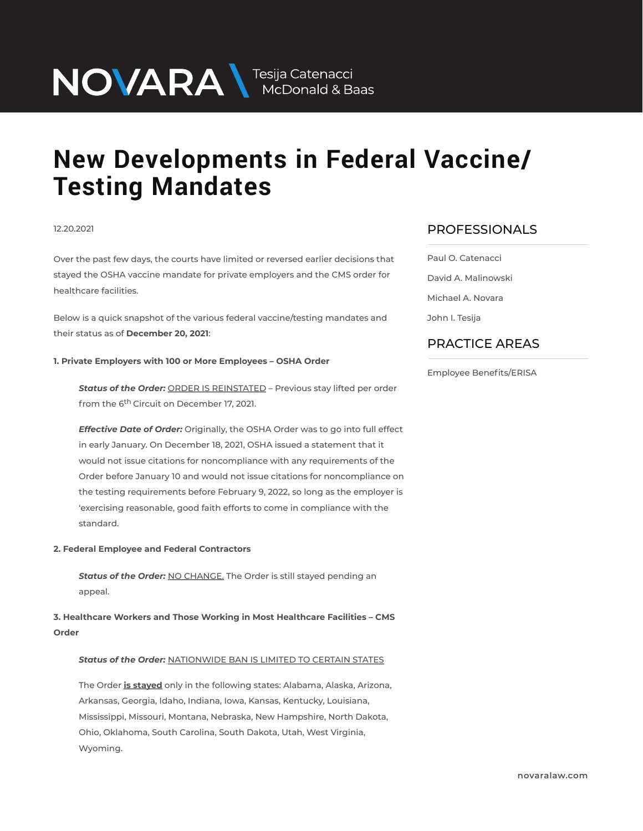NOVARA MEDOnald & Baas

# **New Developments in Federal Vaccine/ Testing Mandates**

#### 12.20.2021

Over the past few days, the courts have limited or reversed earlier decisions that stayed the OSHA vaccine mandate for private employers and the CMS order for healthcare facilities.

Below is a quick snapshot of the various federal vaccine/testing mandates and their status as of **December 20, 2021**:

# **1. Private Employers with 100 or More Employees – OSHA Order**

*Status of the Order:* ORDER IS REINSTATED – Previous stay lifted per order from the 6<sup>th</sup> Circuit on December 17, 2021.

*Effective Date of Order:* Originally, the OSHA Order was to go into full effect in early January. On December 18, 2021, OSHA issued a statement that it would not issue citations for noncompliance with any requirements of the Order before January 10 and would not issue citations for noncompliance on the testing requirements before February 9, 2022, so long as the employer is 'exercising reasonable, good faith efforts to come in compliance with the standard.

#### **2. Federal Employee and Federal Contractors**

**Status of the Order: NO CHANGE.** The Order is still stayed pending an appeal.

**3. Healthcare Workers and Those Working in Most Healthcare Facilities – CMS Order**

#### *Status of the Order:* NATIONWIDE BAN IS LIMITED TO CERTAIN STATES

The Order **is stayed** only in the following states: Alabama, Alaska, Arizona, Arkansas, Georgia, Idaho, Indiana, Iowa, Kansas, Kentucky, Louisiana, Mississippi, Missouri, Montana, Nebraska, New Hampshire, North Dakota, Ohio, Oklahoma, South Carolina, South Dakota, Utah, West Virginia, Wyoming.

## PROFESSIONALS  $\overline{\phantom{a}}$

Paul O. Catenacci David A. Malinowski Michael A. Novara John I. Tesija

### PRACTICE AREAS  $\overline{\phantom{a}}$

Employee Benefits/ERISA